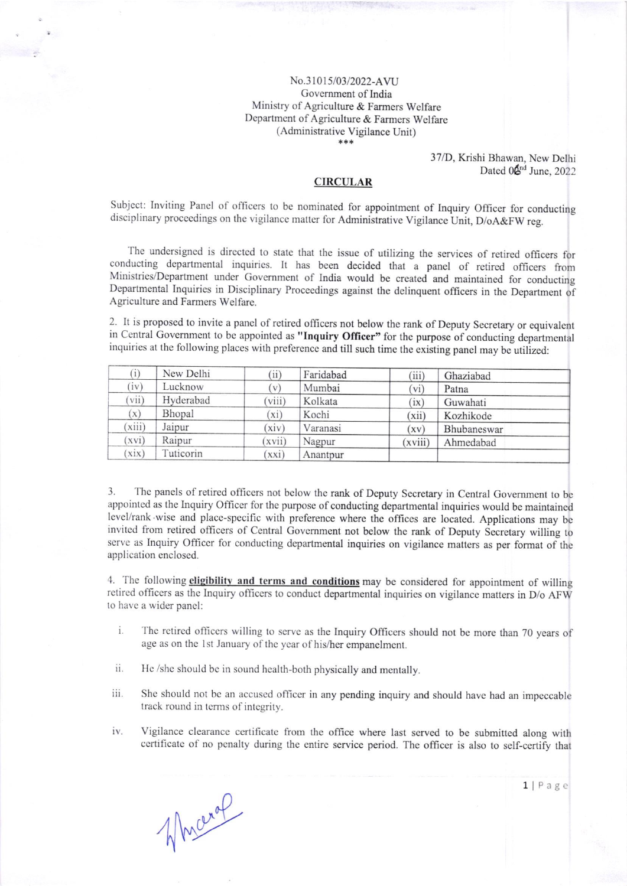## No.3l0l5/03/2022-AVU Govemment of India Ministry of Agriculture & Farmers Welfare Department of Agriculture & Farmers Welfare (Administrative Vigilance Unit)

37/D, Krishi Bhawan, New Delhi Dated 0<sup>6<sup>nd</sup> June, 2022</sup>

## **CIRCULAR**

Subject: Inviting Panel of officers to be nominated for appointment of Inquiry Officer for conducting disciplinary proceedings on the vigilance matter for Administrative Vigilance Unit, D/oA&FW reg.

The undersigned is directed to state that the issue of utilizing the services of retired officers for conducting departmental inquirics. It has been decided that a panel of retired officers from Ministries/Department under Government of India would be created and maintained for conducting Departmental Inquiries in Disciplinary Proceedings against the delinquent officers in the Department of Agriculture and Farmers Welfarc.

2. It is proposed to invite a panel of retired officers not below the rank of Deputy Secretary or equivalent in Central Government to be appointed as "Inquiry Officer" for the purpose of conducting departmental inquiries at the following places with prefcrence and till such timc thc existing panel may be utilized:

| (i)    | New Delhi | (ii)         | Faridabad | (iii)   | Ghaziabad   |
|--------|-----------|--------------|-----------|---------|-------------|
| (iv)   | Lucknow   | $\mathbf{V}$ | Mumbai    | (vi)    | Patna       |
| vii)   | Hyderabad | viii)        | Kolkata   | (ix)    | Guwahati    |
| (x)    | Bhopal    | $(x_i)$      | Kochi     | (xii)   | Kozhikode   |
| (xiii) | Jaipur    | xiv          | Varanasi  | (xv)    | Bhubaneswar |
| (xvi)  | Raipur    | (xvii)       | Nagpur    | (xviii) | Ahmedabad   |
| xix)   | Tuticorin | xxi)         | Anantpur  |         |             |

3. The panels of retired officers not below the rank of Deputy Secretary in Central Government to be appointed as the Inquiry Officer for the purpose of conducting departmental inquiries would be maintained level/rank wise and place-specific with preference where the offices are located. Applications may be invitcd from retired officers of central Govemment not below thc rank of Deputy secretary willing to serve as Inquiry Officer for conducting departmental inquiries on vigilance matters as per format of the application enclosed.

4. The following eligibility and terms and conditions may be considered for appointment of willing retired officers as the Inquiry officers to conduct departmental inquiries on vigilance matters in D/o AFW to havc a wider pancl:

- The retired officers willing to serve as the Inquiry Officers should not be more than 70 years of age as on the 1st January of the year of his/her empanelment. i.
- He /she should be in sound health-both physically and mentally. ii.
- iii. She should not bc an accuscd officer in any pending inquiry and should have had an impcccable track round in terms of integrity.
- Vigilance clearance certificate from the office where last served to be submitted along with certificate of no penalty during the entire service period. The officer is also to self-certify that iv.

Mucraf

1 | Page